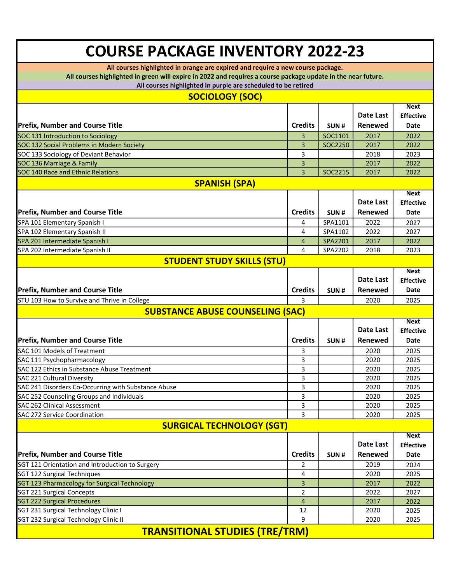## **COURSE PACKAGE INVENTORY 2022-23**

**All courses highlighted in orange are expired and require a new course package.**

**All courses highlighted in green will expire in 2022 and requires a course package update in the near future.**

**All courses highlighted in purple are scheduled to be retired**

| An courses ingimgnied in purple are scrieduled to be retired<br><b>SOCIOLOGY (SOC)</b> |                |         |                |                  |  |  |
|----------------------------------------------------------------------------------------|----------------|---------|----------------|------------------|--|--|
|                                                                                        |                |         |                | <b>Next</b>      |  |  |
|                                                                                        |                |         | Date Last      | <b>Effective</b> |  |  |
| <b>Prefix, Number and Course Title</b>                                                 | <b>Credits</b> | SUN#    | Renewed        | Date             |  |  |
| SOC 131 Introduction to Sociology                                                      | 3              | SOC1101 | 2017           | 2022             |  |  |
| SOC 132 Social Problems in Modern Society                                              | 3              | SOC2250 | 2017           | 2022             |  |  |
| SOC 133 Sociology of Deviant Behavior                                                  | 3              |         | 2018           | 2023             |  |  |
| SOC 136 Marriage & Family                                                              | 3              |         | 2017           | 2022             |  |  |
| SOC 140 Race and Ethnic Relations                                                      | 3              | SOC2215 | 2017           | 2022             |  |  |
| <b>SPANISH (SPA)</b>                                                                   |                |         |                |                  |  |  |
|                                                                                        |                |         |                | <b>Next</b>      |  |  |
|                                                                                        |                |         | Date Last      | <b>Effective</b> |  |  |
| <b>Prefix, Number and Course Title</b>                                                 | <b>Credits</b> | SUN#    | Renewed        | Date             |  |  |
| SPA 101 Elementary Spanish I                                                           | 4              | SPA1101 | 2022           | 2027             |  |  |
| SPA 102 Elementary Spanish II                                                          | 4              | SPA1102 | 2022           | 2027             |  |  |
| SPA 201 Intermediate Spanish I                                                         | 4              | SPA2201 | 2017           | 2022             |  |  |
| SPA 202 Intermediate Spanish II                                                        | 4              | SPA2202 | 2018           | 2023             |  |  |
| <b>STUDENT STUDY SKILLS (STU)</b>                                                      |                |         |                |                  |  |  |
|                                                                                        |                |         |                | <b>Next</b>      |  |  |
|                                                                                        |                |         | Date Last      | <b>Effective</b> |  |  |
| <b>Prefix, Number and Course Title</b>                                                 | <b>Credits</b> | SUN#    | Renewed        | <b>Date</b>      |  |  |
| STU 103 How to Survive and Thrive in College                                           | 3              |         | 2020           | 2025             |  |  |
| <b>SUBSTANCE ABUSE COUNSELING (SAC)</b>                                                |                |         |                |                  |  |  |
|                                                                                        |                |         |                | <b>Next</b>      |  |  |
|                                                                                        |                |         | Date Last      | <b>Effective</b> |  |  |
| <b>Prefix, Number and Course Title</b>                                                 | <b>Credits</b> | SUN#    | Renewed        | Date             |  |  |
| SAC 101 Models of Treatment                                                            | 3              |         | 2020           | 2025             |  |  |
| SAC 111 Psychopharmacology                                                             | 3              |         | 2020           | 2025             |  |  |
| SAC 122 Ethics in Substance Abuse Treatment                                            | 3              |         | 2020           | 2025             |  |  |
| SAC 221 Cultural Diversity                                                             | 3              |         | 2020           | 2025             |  |  |
| SAC 241 Disorders Co-Occurring with Substance Abuse                                    | 3              |         | 2020           | 2025             |  |  |
| SAC 252 Counseling Groups and Individuals                                              | 3              |         | 2020           | 2025             |  |  |
| SAC 262 Clinical Assessment                                                            | 3              |         | 2020           | 2025             |  |  |
| SAC 272 Service Coordination                                                           | 3              |         | 2020           | 2025             |  |  |
| <b>SURGICAL TECHNOLOGY (SGT)</b>                                                       |                |         |                |                  |  |  |
|                                                                                        |                |         |                | <b>Next</b>      |  |  |
|                                                                                        |                |         | Date Last      | <b>Effective</b> |  |  |
| <b>Prefix, Number and Course Title</b>                                                 | <b>Credits</b> | SUN#    | <b>Renewed</b> | <b>Date</b>      |  |  |
| SGT 121 Orientation and Introduction to Surgery                                        | 2              |         | 2019           | 2024             |  |  |
| SGT 122 Surgical Techniques                                                            | 4              |         | 2020           | 2025             |  |  |
| SGT 123 Pharmacology for Surgical Technology                                           | 3              |         | 2017           | 2022             |  |  |
| <b>SGT 221 Surgical Concepts</b>                                                       | 2              |         | 2022           | 2027             |  |  |
| <b>SGT 222 Surgical Procedures</b>                                                     | 4              |         | 2017           | 2022             |  |  |
| SGT 231 Surgical Technology Clinic I                                                   | 12             |         | 2020           | 2025             |  |  |
| SGT 232 Surgical Technology Clinic II                                                  | 9              |         | 2020           | 2025             |  |  |
| <b>TRANSITIONAL STUDIES (TRE/TRM)</b>                                                  |                |         |                |                  |  |  |